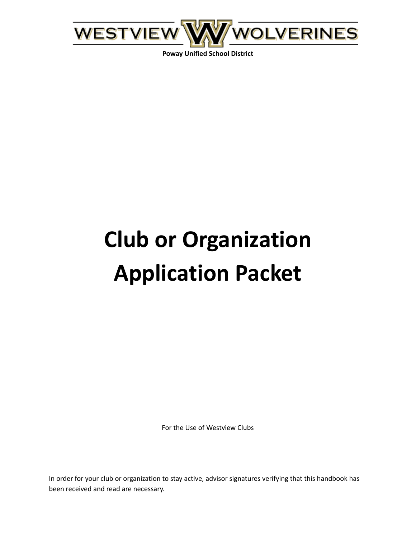

**Poway Unified School District**

# **Club or Organization Application Packet**

For the Use of Westview Clubs

In order for your club or organization to stay active, advisor signatures verifying that this handbook has been received and read are necessary.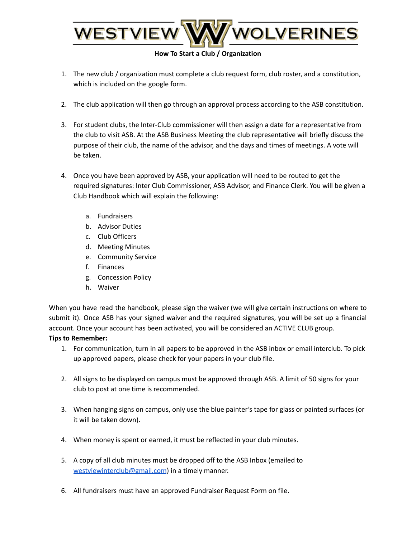

### **How To Start a Club / Organization**

- 1. The new club / organization must complete a club request form, club roster, and a constitution, which is included on the google form.
- 2. The club application will then go through an approval process according to the ASB constitution.
- 3. For student clubs, the Inter-Club commissioner will then assign a date for a representative from the club to visit ASB. At the ASB Business Meeting the club representative will briefly discuss the purpose of their club, the name of the advisor, and the days and times of meetings. A vote will be taken.
- 4. Once you have been approved by ASB, your application will need to be routed to get the required signatures: Inter Club Commissioner, ASB Advisor, and Finance Clerk. You will be given a Club Handbook which will explain the following:
	- a. Fundraisers
	- b. Advisor Duties
	- c. Club Officers
	- d. Meeting Minutes
	- e. Community Service
	- f. Finances
	- g. Concession Policy
	- h. Waiver

When you have read the handbook, please sign the waiver (we will give certain instructions on where to submit it). Once ASB has your signed waiver and the required signatures, you will be set up a financial account. Once your account has been activated, you will be considered an ACTIVE CLUB group.

#### **Tips to Remember:**

- 1. For communication, turn in all papers to be approved in the ASB inbox or email interclub. To pick up approved papers, please check for your papers in your club file.
- 2. All signs to be displayed on campus must be approved through ASB. A limit of 50 signs for your club to post at one time is recommended.
- 3. When hanging signs on campus, only use the blue painter's tape for glass or painted surfaces (or it will be taken down).
- 4. When money is spent or earned, it must be reflected in your club minutes.
- 5. A copy of all club minutes must be dropped off to the ASB Inbox (emailed to [westviewinterclub@gmail.com](mailto:westviewinterclub@gmail.com)) in a timely manner.
- 6. All fundraisers must have an approved Fundraiser Request Form on file.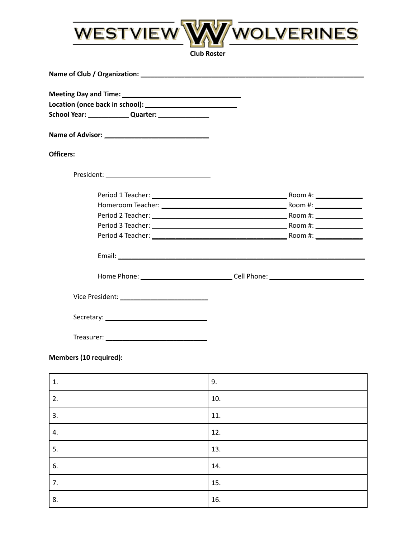

| <b>Officers:</b> |                                                                                  |
|------------------|----------------------------------------------------------------------------------|
|                  |                                                                                  |
|                  |                                                                                  |
|                  |                                                                                  |
|                  |                                                                                  |
|                  |                                                                                  |
|                  |                                                                                  |
|                  |                                                                                  |
|                  | Home Phone: ___________________________________Cell Phone: _____________________ |
|                  |                                                                                  |
|                  |                                                                                  |
| Treasurer:       |                                                                                  |

## Members (10 required):

| 1. | 9.  |
|----|-----|
| 2. | 10. |
| 3. | 11. |
| 4. | 12. |
| 5. | 13. |
| 6. | 14. |
| 7. | 15. |
| 8. | 16. |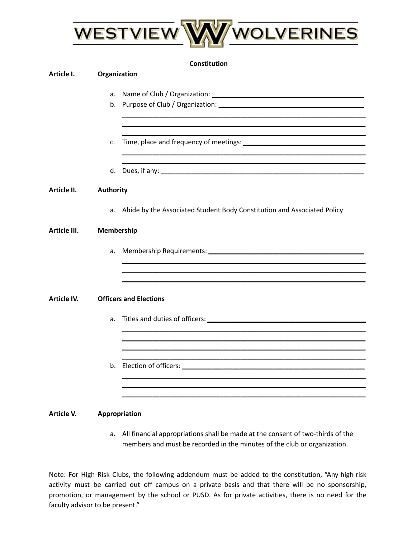

## **Constitution**

| Article I.   | Organization |                                                                                                                                                                                                                               |
|--------------|--------------|-------------------------------------------------------------------------------------------------------------------------------------------------------------------------------------------------------------------------------|
|              | a.           |                                                                                                                                                                                                                               |
|              |              |                                                                                                                                                                                                                               |
|              | c.           |                                                                                                                                                                                                                               |
|              |              |                                                                                                                                                                                                                               |
| Article II.  | Authority    |                                                                                                                                                                                                                               |
|              |              | a. Abide by the Associated Student Body Constitution and Associated Policy                                                                                                                                                    |
| Article III. | Membership   |                                                                                                                                                                                                                               |
|              | a.           |                                                                                                                                                                                                                               |
| Article IV.  |              | <b>Officers and Elections</b>                                                                                                                                                                                                 |
|              | a.           |                                                                                                                                                                                                                               |
|              |              |                                                                                                                                                                                                                               |
|              |              | b. Election of officers: Universe and Section 2014 and 2015 and 2016 and 2017 and 2017 and 2017 and 2017 and 2017 and 2017 and 2017 and 2017 and 2017 and 2017 and 2017 and 2017 and 2017 and 2017 and 2017 and 2017 and 2017 |
|              |              |                                                                                                                                                                                                                               |

## **Article V. Appropriation**

a. All financial appropriations shall be made at the consent of two-thirds of the members and must be recorded in the minutes of the club or organization.

Note: For High Risk Clubs, the following addendum must be added to the constitution, "Any high risk activity must be carried out off campus on a private basis and that there will be no sponsorship, promotion, or management by the school or PUSD. As for private activities, there is no need for the faculty advisor to be present."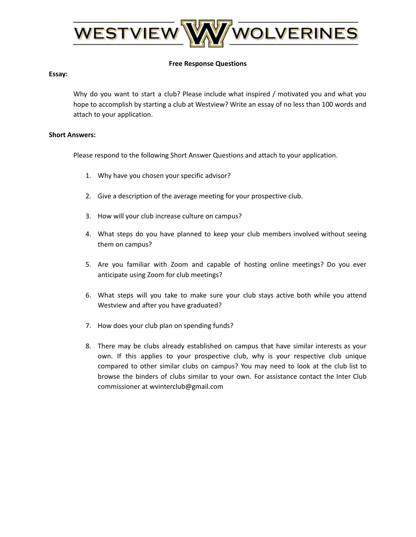

### **Free Response Questions**

#### **Essay:**

Why do you want to start a club? Please include what inspired / motivated you and what you hope to accomplish by starting a club at Westview? Write an essay of no less than 100 words and attach to your application.

#### **Short Answers:**

Please respond to the following Short Answer Questions and attach to your application.

- 1. Why have you chosen your specific advisor?
- 2. Give a description of the average meeting for your prospective club.
- 3. How will your club increase culture on campus?
- 4. What steps do you have planned to keep your club members involved without seeing them on campus?
- 5. Are you familiar with Zoom and capable of hosting online meetings? Do you ever anticipate using Zoom for club meetings?
- 6. What steps will you take to make sure your club stays active both while you attend Westview and after you have graduated?
- 7. How does your club plan on spending funds?
- 8. There may be clubs already established on campus that have similar interests as your own. If this applies to your prospective club, why is your respective club unique compared to other similar clubs on campus? You may need to look at the club list to browse the binders of clubs similar to your own. For assistance contact the Inter Club commissioner at wvinterclub@gmail.com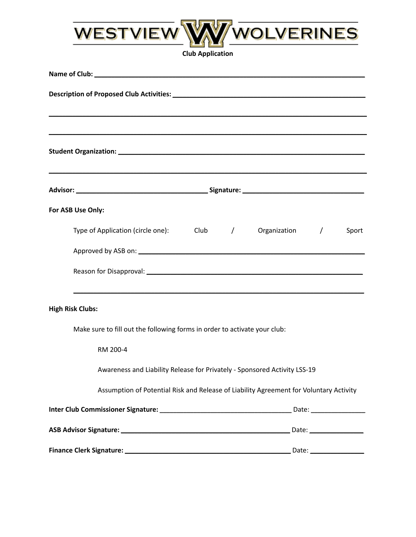

**Club Application**

| ,我们也不会有什么。""我们的人,我们也不会有什么?""我们的人,我们也不会有什么?""我们的人,我们也不会有什么?""我们的人,我们也不会有什么?""我们的人                                                                |       |
|-------------------------------------------------------------------------------------------------------------------------------------------------|-------|
|                                                                                                                                                 |       |
| ,我们也不能在这里的时候,我们也不能在这里的时候,我们也不能会不能会不能会不能会不能会不能会不能会不能会不能会不能会。<br>第2012章 我们的时候,我们的时候,我们的时候,我们的时候,我们的时候,我们的时候,我们的时候,我们的时候,我们的时候,我们的时候,我们的时候,我们的时候,我 |       |
| For ASB Use Only:                                                                                                                               |       |
| Type of Application (circle one): Club / Organization /                                                                                         | Sport |
|                                                                                                                                                 |       |
|                                                                                                                                                 |       |
| ,我们也不会有什么。""我们的人,我们也不会有什么?""我们的人,我们也不会有什么?""我们的人,我们也不会有什么?""我们的人,我们也不会有什么?""我们的人<br><b>High Risk Clubs:</b>                                     |       |
| Make sure to fill out the following forms in order to activate your club:                                                                       |       |
| RM 200-4                                                                                                                                        |       |
| Awareness and Liability Release for Privately - Sponsored Activity LSS-19                                                                       |       |
| Assumption of Potential Risk and Release of Liability Agreement for Voluntary Activity                                                          |       |
|                                                                                                                                                 |       |
|                                                                                                                                                 |       |
|                                                                                                                                                 |       |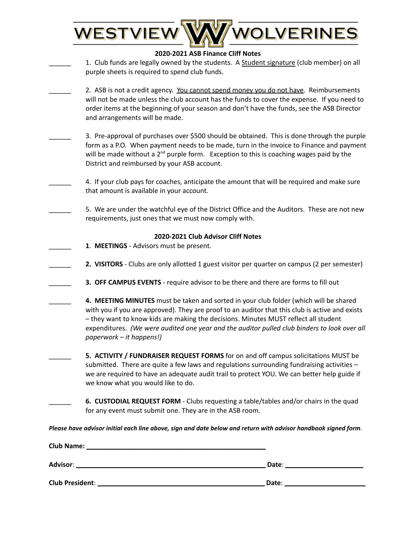| WOLVERINES<br>WESTVIEW                                                                                                                                                                                                                                                                                                                                                                                      |
|-------------------------------------------------------------------------------------------------------------------------------------------------------------------------------------------------------------------------------------------------------------------------------------------------------------------------------------------------------------------------------------------------------------|
|                                                                                                                                                                                                                                                                                                                                                                                                             |
| 2020-2021 ASB Finance Cliff Notes                                                                                                                                                                                                                                                                                                                                                                           |
| 1. Club funds are legally owned by the students. A Student signature (club member) on all<br>purple sheets is required to spend club funds.                                                                                                                                                                                                                                                                 |
| 2. ASB is not a credit agency. You cannot spend money you do not have. Reimbursements<br>will not be made unless the club account has the funds to cover the expense. If you need to<br>order items at the beginning of your season and don't have the funds, see the ASB Director<br>and arrangements will be made.                                                                                        |
| 3. Pre-approval of purchases over \$500 should be obtained. This is done through the purple<br>form as a P.O. When payment needs to be made, turn in the invoice to Finance and payment<br>will be made without a 2 <sup>nd</sup> purple form. Exception to this is coaching wages paid by the<br>District and reimbursed by your ASB account.                                                              |
| 4. If your club pays for coaches, anticipate the amount that will be required and make sure<br>that amount is available in your account.                                                                                                                                                                                                                                                                    |
| 5. We are under the watchful eye of the District Office and the Auditors. These are not new<br>requirements, just ones that we must now comply with.                                                                                                                                                                                                                                                        |
| 2020-2021 Club Advisor Cliff Notes                                                                                                                                                                                                                                                                                                                                                                          |
| 1. MEETINGS - Advisors must be present.                                                                                                                                                                                                                                                                                                                                                                     |
| 2. VISITORS - Clubs are only allotted 1 guest visitor per quarter on campus (2 per semester)                                                                                                                                                                                                                                                                                                                |
| 3. OFF CAMPUS EVENTS - require advisor to be there and there are forms to fill out                                                                                                                                                                                                                                                                                                                          |
| 4. MEETING MINUTES must be taken and sorted in your club folder (which will be shared<br>with you if you are approved). They are proof to an auditor that this club is active and exists<br>- they want to know kids are making the decisions. Minutes MUST reflect all student<br>expenditures. (We were audited one year and the auditor pulled club binders to look over all<br>paperwork - it happens!) |
| 5. ACTIVITY / FUNDRAISER REQUEST FORMS for on and off campus solicitations MUST be<br>submitted. There are quite a few laws and regulations surrounding fundraising activities -<br>we are required to have an adequate audit trail to protect YOU. We can better help guide if<br>we know what you would like to do.                                                                                       |
| 6. CUSTODIAL REQUEST FORM - Clubs requesting a table/tables and/or chairs in the quad<br>for any event must submit one. They are in the ASB room.                                                                                                                                                                                                                                                           |
| Please have advisor initial each line above, sign and date below and return with advisor handbook signed form.                                                                                                                                                                                                                                                                                              |
| Club Name: _                                                                                                                                                                                                                                                                                                                                                                                                |

| <b>Advisor:</b> | Date: |
|-----------------|-------|
| Club President: | Date: |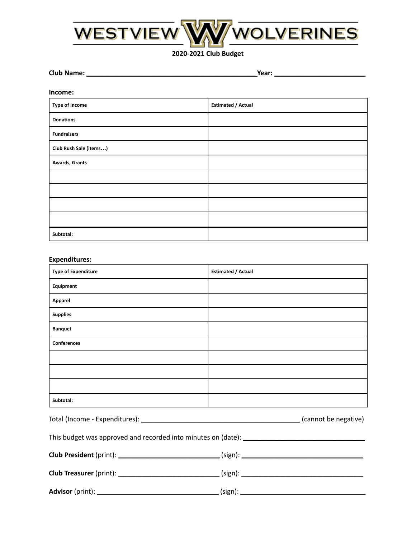

**2020-2021 Club Budget**

**Club Name: \_\_\_\_\_\_\_\_\_\_\_\_\_\_\_\_\_\_\_\_\_\_\_\_\_\_\_\_\_\_\_\_\_\_\_\_\_\_\_\_\_\_\_\_\_\_\_\_\_\_ Year: \_\_\_\_\_\_\_\_\_\_\_\_\_\_\_\_\_\_\_\_\_\_\_\_\_\_\_**

#### **Income:**

| <b>Type of Income</b>  | <b>Estimated / Actual</b> |
|------------------------|---------------------------|
| <b>Donations</b>       |                           |
| <b>Fundraisers</b>     |                           |
| Club Rush Sale (items) |                           |
| Awards, Grants         |                           |
|                        |                           |
|                        |                           |
|                        |                           |
|                        |                           |
| Subtotal:              |                           |

#### **Expenditures:**

| <b>Type of Expenditure</b> | <b>Estimated / Actual</b>                                                                            |  |
|----------------------------|------------------------------------------------------------------------------------------------------|--|
| Equipment                  |                                                                                                      |  |
| Apparel                    |                                                                                                      |  |
| <b>Supplies</b>            |                                                                                                      |  |
| <b>Banquet</b>             |                                                                                                      |  |
| <b>Conferences</b>         |                                                                                                      |  |
|                            |                                                                                                      |  |
|                            |                                                                                                      |  |
|                            |                                                                                                      |  |
| Subtotal:                  |                                                                                                      |  |
|                            |                                                                                                      |  |
|                            |                                                                                                      |  |
|                            |                                                                                                      |  |
|                            | Club Treasurer (print): _________________________________(sign): ___________________________________ |  |
|                            |                                                                                                      |  |